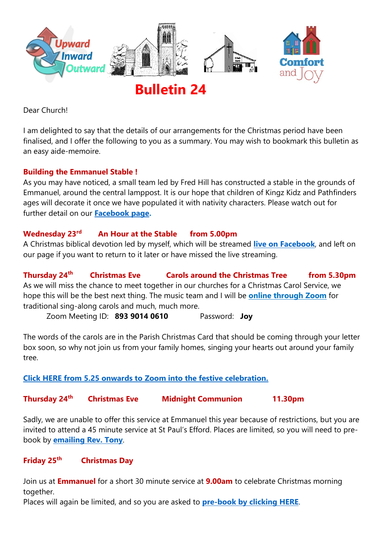

**Bulletin 24**

Dear Church!

I am delighted to say that the details of our arrangements for the Christmas period have been finalised, and I offer the following to you as a summary. You may wish to bookmark this bulletin as an easy aide-memoire.

# **Building the Emmanuel Stable !**

As you may have noticed, a small team led by Fred Hill has constructed a stable in the grounds of Emmanuel, around the central lamppost. It is our hope that children of Kingz Kidz and Pathfinders ages will decorate it once we have populated it with nativity characters. Please watch out for further detail on our **[Facebook page.](https://facebook.com/emmanuelwithstpauls)**

#### **Wednesday 23rd An Hour at the Stable from 5.00pm**

A Christmas biblical devotion led by myself, which will be streamed **[live on Facebook](https://facebook.com/emmanuelwithstpauls)**, and left on our page if you want to return to it later or have missed the live streaming.

**Thursday 24th Christmas Eve Carols around the Christmas Tree from 5.30pm** As we will miss the chance to meet together in our churches for a Christmas Carol Service, we hope this will be the best next thing. The music team and I will be **[online through Zoom](https://us02web.zoom.us/j/89390140610?pwd=UVU5UVF4R0dYM016RUUwT3VYcnc4UT09)** for traditional sing-along carols and much, much more.

Zoom Meeting ID: **893 9014 0610** Password: **Joy**

The words of the carols are in the Parish Christmas Card that should be coming through your letter box soon, so why not join us from your family homes, singing your hearts out around your family tree.

# **[Click HERE from 5.25 onwards to Zoom into the festive celebration.](https://us02web.zoom.us/j/89390140610?pwd=UVU5UVF4R0dYM016RUUwT3VYcnc4UT09)**

#### **Thursday 24th Christmas Eve Midnight Communion 11.30pm**

Sadly, we are unable to offer this service at Emmanuel this year because of restrictions, but you are invited to attend a 45 minute service at St Paul's Efford. Places are limited, so you will need to prebook by **[emailing Rev. Tony](mailto:tony.williams@stpaulsefford.co.uk?subject=Midnight%20Communion%20booking...)**.

#### **Friday 25th Christmas Day**

Join us at **Emmanuel** for a short 30 minute service at **9.00am** to celebrate Christmas morning together.

Places will again be limited, and so you are asked to **[pre-book by clicking HERE](https://www.buytickets.at/emmanuelplymouth/456849)**.